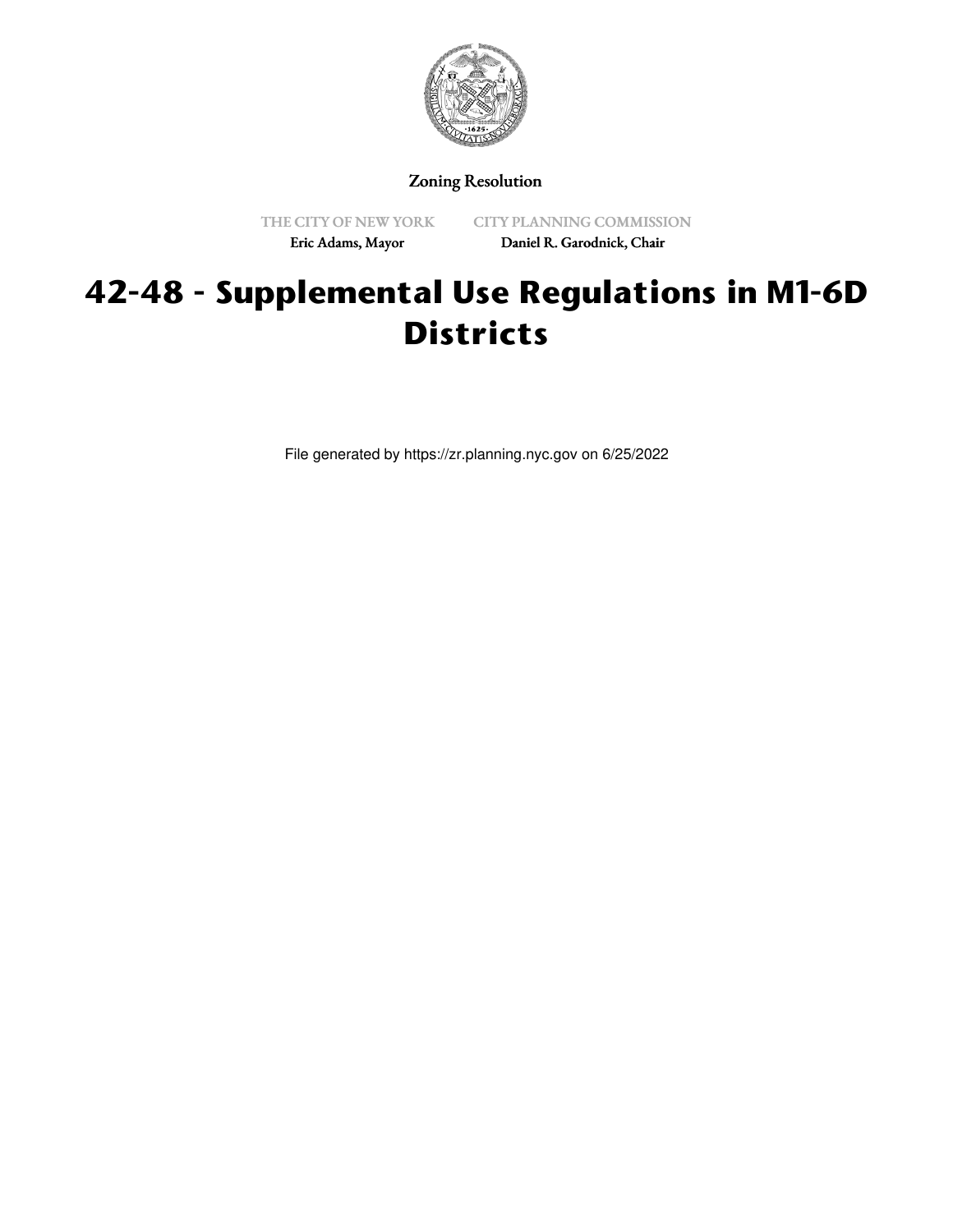

Zoning Resolution

THE CITY OF NEW YORK Eric Adams, Mayor

CITY PLANNING COMMISSION Daniel R. Garodnick, Chair

# **42-48 - Supplemental Use Regulations in M1-6D Districts**

File generated by https://zr.planning.nyc.gov on 6/25/2022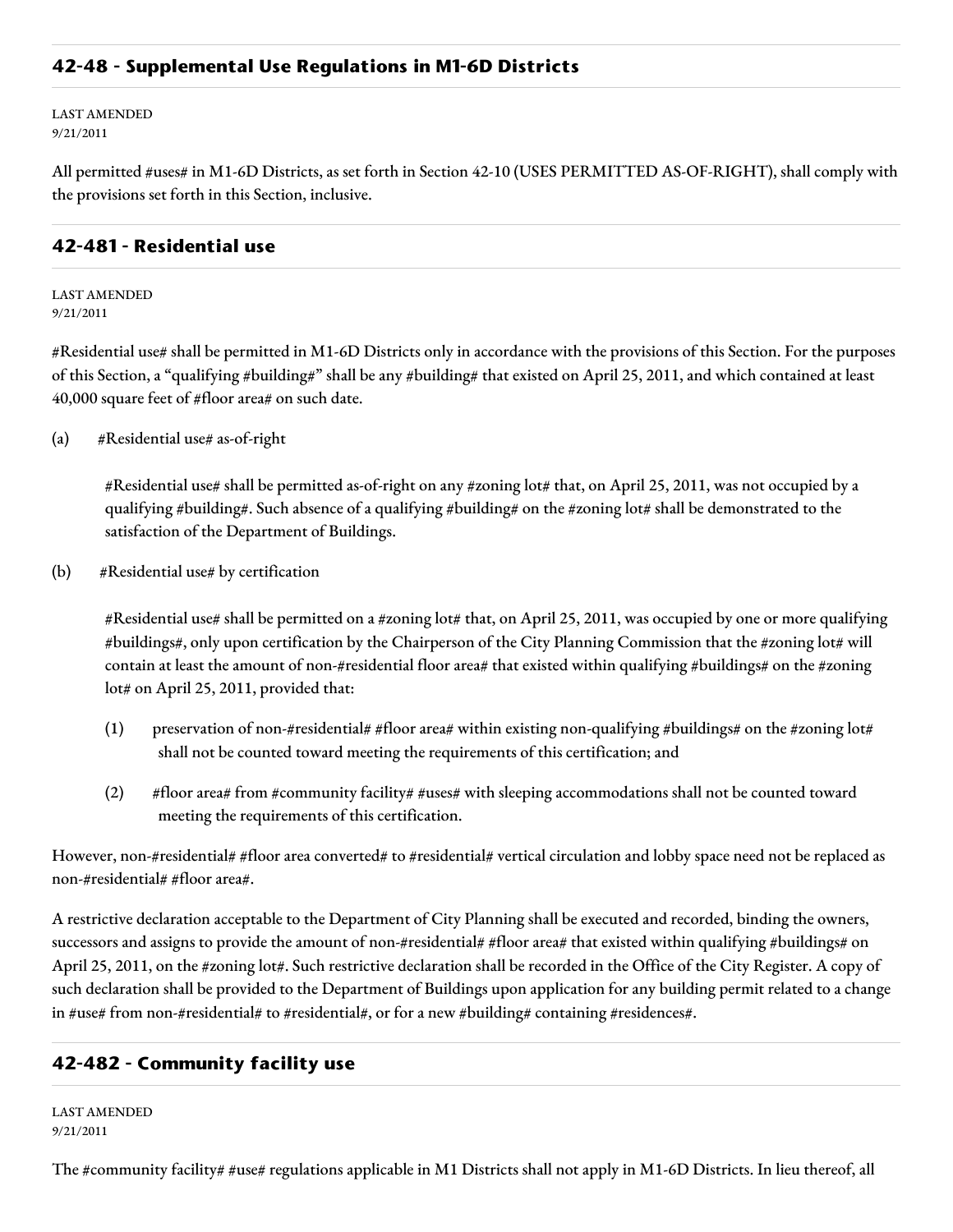#### **42-48 - Supplemental Use Regulations in M1-6D Districts**

LAST AMENDED 9/21/2011

All permitted #uses# in M1-6D Districts, as set forth in Section 42-10 (USES PERMITTED AS-OF-RIGHT), shall comply with the provisions set forth in this Section, inclusive.

#### **42-481 - Residential use**

LAST AMENDED 9/21/2011

#Residential use# shall be permitted in M1-6D Districts only in accordance with the provisions of this Section. For the purposes of this Section, a "qualifying #building#" shall be any #building# that existed on April 25, 2011, and which contained at least 40,000 square feet of #floor area# on such date.

(a) #Residential use# as-of-right

#Residential use# shall be permitted as-of-right on any #zoning lot# that, on April 25, 2011, was not occupied by a qualifying #building#. Such absence of a qualifying #building# on the #zoning lot# shall be demonstrated to the satisfaction of the Department of Buildings.

(b) #Residential use# by certification

#Residential use# shall be permitted on a #zoning lot# that, on April 25, 2011, was occupied by one or more qualifying #buildings#, only upon certification by the Chairperson of the City Planning Commission that the #zoning lot# will contain at least the amount of non-#residential floor area# that existed within qualifying #buildings# on the #zoning lot# on April 25, 2011, provided that:

- (1) preservation of non-#residential# #floor area# within existing non-qualifying #buildings# on the #zoning lot# shall not be counted toward meeting the requirements of this certification; and
- (2) #floor area# from #community facility# #uses# with sleeping accommodations shall not be counted toward meeting the requirements of this certification.

However, non-#residential# #floor area converted# to #residential# vertical circulation and lobby space need not be replaced as non-#residential# #floor area#.

A restrictive declaration acceptable to the Department of City Planning shall be executed and recorded, binding the owners, successors and assigns to provide the amount of non-#residential# #floor area# that existed within qualifying #buildings# on April 25, 2011, on the #zoning lot#. Such restrictive declaration shall be recorded in the Office of the City Register. A copy of such declaration shall be provided to the Department of Buildings upon application for any building permit related to a change in #use# from non-#residential# to #residential#, or for a new #building# containing #residences#.

### **42-482 - Community facility use**

LAST AMENDED 9/21/2011

The #community facility# #use# regulations applicable in M1 Districts shall not apply in M1-6D Districts. In lieu thereof, all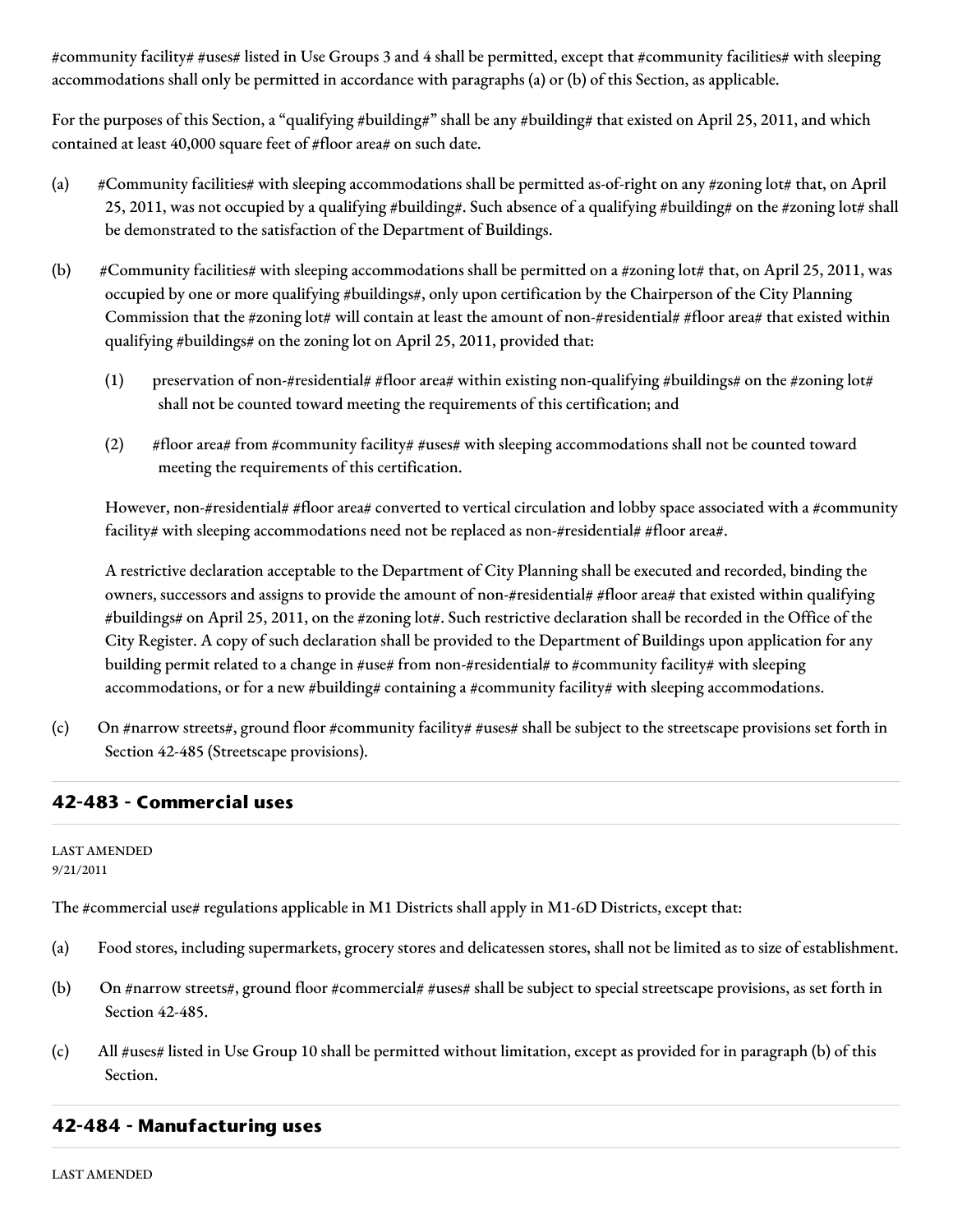#community facility# #uses# listed in Use Groups 3 and 4 shall be permitted, except that #community facilities# with sleeping accommodations shall only be permitted in accordance with paragraphs (a) or (b) of this Section, as applicable.

For the purposes of this Section, a "qualifying #building#" shall be any #building# that existed on April 25, 2011, and which contained at least 40,000 square feet of #floor area# on such date.

- (a) #Community facilities# with sleeping accommodations shall be permitted as-of-right on any #zoning lot# that, on April 25, 2011, was not occupied by a qualifying #building#. Such absence of a qualifying #building# on the #zoning lot# shall be demonstrated to the satisfaction of the Department of Buildings.
- (b) #Community facilities# with sleeping accommodations shall be permitted on a #zoning lot# that, on April 25, 2011, was occupied by one or more qualifying #buildings#, only upon certification by the Chairperson of the City Planning Commission that the #zoning lot# will contain at least the amount of non-#residential# #floor area# that existed within qualifying #buildings# on the zoning lot on April 25, 2011, provided that:
	- (1) preservation of non-#residential# #floor area# within existing non-qualifying #buildings# on the #zoning lot# shall not be counted toward meeting the requirements of this certification; and
	- (2) #floor area# from #community facility# #uses# with sleeping accommodations shall not be counted toward meeting the requirements of this certification.

However, non-#residential# #floor area# converted to vertical circulation and lobby space associated with a #community facility# with sleeping accommodations need not be replaced as non-#residential# #floor area#.

A restrictive declaration acceptable to the Department of City Planning shall be executed and recorded, binding the owners, successors and assigns to provide the amount of non-#residential# #floor area# that existed within qualifying #buildings# on April 25, 2011, on the #zoning lot#. Such restrictive declaration shall be recorded in the Office of the City Register. A copy of such declaration shall be provided to the Department of Buildings upon application for any building permit related to a change in #use# from non-#residential# to #community facility# with sleeping accommodations, or for a new #building# containing a #community facility# with sleeping accommodations.

(c) On #narrow streets#, ground floor #community facility# #uses# shall be subject to the streetscape provisions set forth in Section 42-485 (Streetscape provisions).

### **42-483 - Commercial uses**

LAST AMENDED 9/21/2011

The #commercial use# regulations applicable in M1 Districts shall apply in M1-6D Districts, except that:

- (a) Food stores, including supermarkets, grocery stores and delicatessen stores, shall not be limited as to size of establishment.
- (b) On #narrow streets#, ground floor #commercial# #uses# shall be subject to special streetscape provisions, as set forth in Section 42-485.
- (c) All #uses# listed in Use Group 10 shall be permitted without limitation, except as provided for in paragraph (b) of this Section.

### **42-484 - Manufacturing uses**